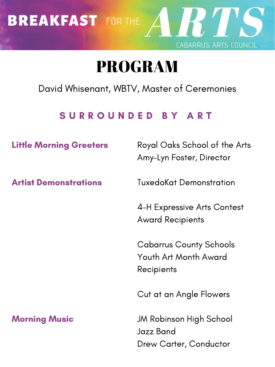David Whisenant, WBTV, Master of Ceremonies

## S U R R O U N D E D B Y A R T

# BREAKFAST FOR THE A R T CABARRUS ARTS COUNCIL

# PROGRAM

Little Morning Greeters

Artist Demonstrations

Cabarrus County Schools Youth Art Month Award **Recipients** 

#### Morning Music

Royal Oaks School of the Arts Amy-Lyn Foster, Director

TuxedoKat Demonstration

4-H Expressive Arts Contest Award Recipients

Cut at an Angle Flowers

JM Robinson High School Jazz Band Drew Carter, Conductor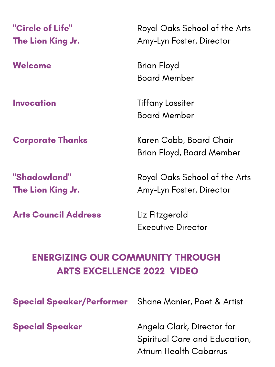# ENERGIZING OUR COMMUNITY THROUGH ARTS EXCELLENCE 2022 VIDEO

### "Circle of Life " The Lion King Jr.

Welcome

Invocation

#### Corporate Thanks

#### "Shadowland" The Lion King Jr.

Arts Council Address

Special Speaker

Royal Oaks School of the Arts Amy-Lyn Foster, Director

Brian Floyd Board Member

Tiffany Lassiter Board Member

Special Speaker/Performer Shane Manier, Poet & Artist

Karen Cobb, Board Chair Brian Floyd, Board Member

Royal Oaks School of the Arts Amy-Lyn Foster, Director

Liz Fitzgerald Executive Director

Angela Clark, Director for Spiritual Care and Education, Atrium Health Cabarrus